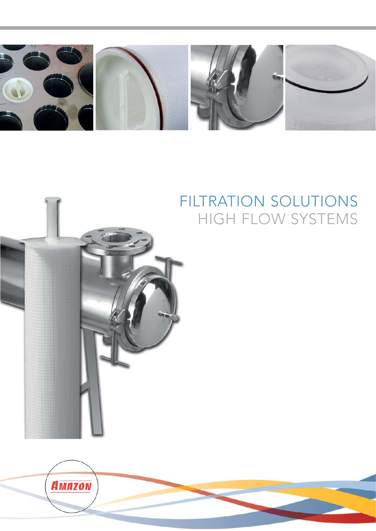



## FILTRATION SOLUTIONS HIGH FLOW SYSTEMS

**AMAZON**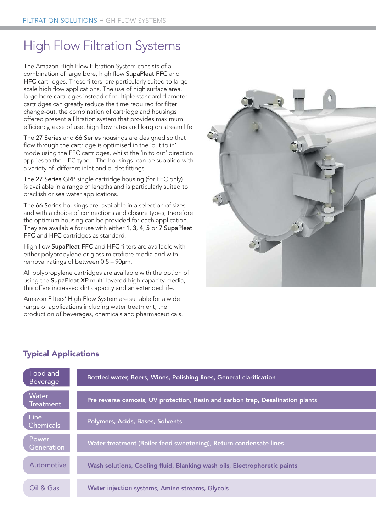## High Flow Filtration Systems

The Amazon High Flow Filtration System consists of a combination of large bore, high flow SupaPleat FFC and HFC cartridges. These filters are particularly suited to large scale high flow applications. The use of high surface area, large bore cartridges instead of multiple standard diameter cartridges can greatly reduce the time required for filter change-out, the combination of cartridge and housings offered present a filtration system that provides maximum efficiency, ease of use, high flow rates and long on stream life.

The 27 Series and 66 Series housings are designed so that flow through the cartridge is optimised in the 'out to in' mode using the FFC cartridges, whilst the 'in to out' direction applies to the HFC type. The housings can be supplied with a variety of different inlet and outlet fittings.

The 27 Series GRP single cartridge housing (for FFC only) is available in a range of lengths and is particularly suited to brackish or sea water applications.

The 66 Series housings are available in a selection of sizes and with a choice of connections and closure types, therefore the optimum housing can be provided for each application. They are available for use with either 1, 3, 4, 5 or 7 SupaPleat FFC and HFC cartridges as standard.

High flow SupaPleat FFC and HFC filters are available with either polypropylene or glass microfibre media and with removal ratings of between 0.5 – 90µm.

All polypropylene cartridges are available with the option of using the SupaPleat XP multi-layered high capacity media, this offers increased dirt capacity and an extended life.

Amazon Filters' High Flow System are suitable for a wide range of applications including water treatment, the production of beverages, chemicals and pharmaceuticals.



### Typical Applications

| Food and<br><b>Beverage</b> | Bottled water, Beers, Wines, Polishing lines, General clarification            |
|-----------------------------|--------------------------------------------------------------------------------|
| Water<br><b>Treatment</b>   | Pre reverse osmosis, UV protection, Resin and carbon trap, Desalination plants |
| Fine<br><b>Chemicals</b>    | Polymers, Acids, Bases, Solvents                                               |
| Power<br>Generation         | Water treatment (Boiler feed sweetening), Return condensate lines              |
| Automotive                  | Wash solutions, Cooling fluid, Blanking wash oils, Electrophoretic paints      |
| Oil & Gas                   | <b>Water injection systems, Amine streams, Glycols</b>                         |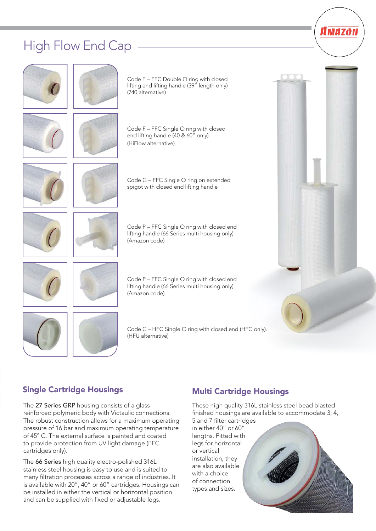### High Flow End Cap



#### Single Cartridge Housings

The 27 Series GRP housing consists of a glass reinforced polymeric body with Victaulic connections. The robust construction allows for a maximum operating pressure of 16 bar and maximum operating temperature of 45° C. The external surface is painted and coated to provide protection from UV light damage (FFC cartridges only).

The 66 Series high quality electro-polished 316L stainless steel housing is easy to use and is suited to many filtration processes across a range of industries. It is available with 20", 40" or 60" cartridges. Housings can be installed in either the vertical or horizontal position and can be supplied with fixed or adjustable legs.

#### Multi Cartridge Housings

These high quality 316L stainless steel bead blasted finished housings are available to accommodate 3, 4,

5 and 7 filter cartridges in either 40" or 60" lengths. Fitted with legs for horizontal or vertical installation, they are also available with a choice of connection types and sizes.



Amazon